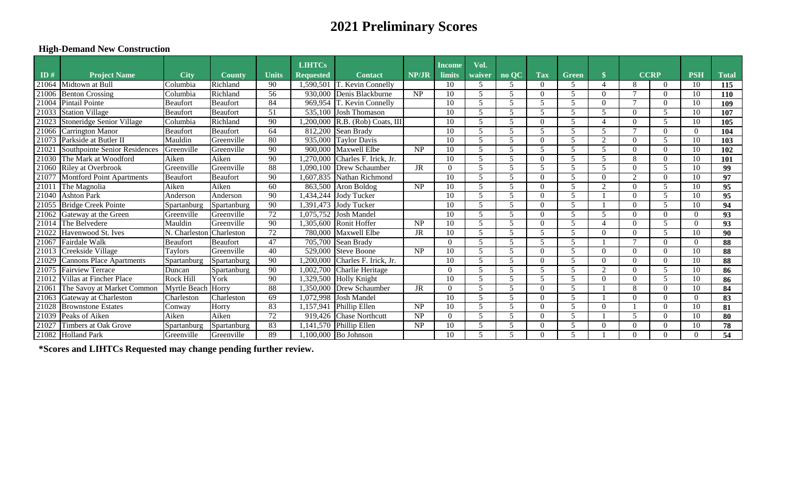# **2021 Preliminary Scores**

## **High-Demand New Construction**

|       |                                 |                 |                 |                 | <b>LIHTCs</b>    |                                            |                        | Income        | Vol.                    |       |            |              |                          |               |              |            |              |
|-------|---------------------------------|-----------------|-----------------|-----------------|------------------|--------------------------------------------|------------------------|---------------|-------------------------|-------|------------|--------------|--------------------------|---------------|--------------|------------|--------------|
| ID#   | <b>Project Name</b>             | <b>City</b>     | <b>County</b>   | <b>Units</b>    | <b>Requested</b> | <b>Contact</b>                             | NP/JR                  | <b>limits</b> | waiver                  | no OC | <b>Tax</b> | <b>Green</b> | $\mathbf{\$}$            | <b>CCRP</b>   |              | <b>PSH</b> | <b>Total</b> |
| 21064 | Midtown at Bull                 | Columbia        | Richland        | 90              | 1,590,501        | T. Kevin Connelly                          |                        | 10            | 5                       | 5     | $\Omega$   | 5            | $\overline{4}$           | 8             | $\theta$     | 10         | 115          |
| 21006 | <b>Benton Crossing</b>          | Columbia        | Richland        | 56              |                  | 930,000 Denis Blackburne                   | <b>NP</b>              | 10            | .5                      | 5     | $\Omega$   |              | $\Omega$                 |               | $\theta$     | 10         | <b>110</b>   |
| 21004 | Pintail Pointe                  | Beaufort        | <b>Beaufort</b> | 84              |                  | 969,954 T. Kevin Connelly                  |                        | 10            | 5                       | 5     | 5          |              | $\Omega$                 | $\mathcal{L}$ | $\theta$     | 10         | 109          |
| 21033 | Station Village                 | <b>Beaufort</b> | Beaufort        | 51              |                  | 535,100 Josh Thomason                      |                        | 10            |                         | 5     | 5          |              | 5                        | $\Omega$      | 5            | 10         | 107          |
| 21023 | Stoneridge Senior Village       | Columbia        | Richland        | 90              |                  | $\overline{200,000}$ R.B. (Rob) Coats, III |                        | 10            | 5                       | 5     | $\Omega$   |              | $\overline{\mathcal{A}}$ | $\Omega$      | 5            | 10         | 105          |
| 21066 | Carrington Manor                | <b>Beaufort</b> | <b>Beaufort</b> | 64              |                  | 812,200 Sean Brady                         |                        | 10            | 5                       |       |            |              | 5                        |               | $\Omega$     | $\Omega$   | 104          |
| 21073 | Parkside at Butler II           | Mauldin         | Greenville      | 80              |                  | $\overline{935,000}$ Taylor Davis          |                        | 10            | 5                       | 5     | $\Omega$   |              | 2                        | $\Omega$      | 5            | 10         | 103          |
| 21021 | Southpointe Senior Residences   | Greenville      | Greenville      | 90              |                  | 900,000 Maxwell Elbe                       | $\overline{\text{NP}}$ | 10            | 5                       | 5     |            |              | 5                        | $\Omega$      | $\Omega$     | 10         | 102          |
|       | 21030 The Mark at Woodford      | Aiken           | Aiken           | 90              |                  | $270,000$ Charles F. Irick, Jr.            |                        | 10            | 5                       | 5     | $\Omega$   |              | 5                        | 8             | $\theta$     | 10         | 101          |
| 21060 | <b>Riley at Overbrook</b>       | Greenville      | Greenville      | 88              | .090.100         | Drew Schaumber                             | <b>JR</b>              | $\Omega$      | 5                       | 5     |            |              | 5                        | $\Omega$      | 5            | 10         | 99           |
| 21077 | Montford Point Apartments       | <b>Beaufort</b> | <b>Beaufort</b> | 90              | .607.835         | Nathan Richmond                            |                        | 10            | 5                       | 5     | $\Omega$   | .5           | $\Omega$                 | $\bigcap$     | $\theta$     | 10         | 97           |
| 21011 | The Magnolia                    | Aiken           | Aiken           | 60              |                  | $863,500$ Aron Boldog                      | NP                     | 10            | 5                       | 5     | $\Omega$   | .5           | 2                        | $\Omega$      | 5            | 10         | 95           |
| 21040 | Ashton Park                     | Anderson        | Anderson        | 90              |                  | $\overline{0.434,244}$ Jody Tucker         |                        | 10            |                         |       | $\Omega$   |              |                          | $\theta$      | 5            | 10         | 95           |
| 21055 | <b>Bridge Creek Pointe</b>      | Spartanburg     | Spartanburg     | 90              |                  | ,391,473 Jody Tucker                       |                        | 10            | $\overline{\mathbf{z}}$ | 5     | $\Omega$   |              |                          | $\Omega$      |              | 10         | 94           |
| 21062 | Gateway at the Green            | Greenville      | Greenville      | $\overline{72}$ |                  | 075,752 Josh Mandel                        |                        | 10            | 5                       |       | $\Omega$   |              | 5                        | $\Omega$      | $\Omega$     | $\Omega$   | 93           |
|       | 21014 The Belvedere             | Mauldin         | Greenville      | 90              |                  | ,305,600 Ronit Hoffer                      | <b>NP</b>              | 10            | 5                       | 5     | $\Omega$   |              |                          | $\Omega$      | 5            | $\Omega$   | 93           |
| 21022 | Havenwood St. Ives              | N. Charleston   | Charleston      | 72              |                  | 780,000 Maxwell Elbe                       | <b>JR</b>              | 10            | 5                       | 5     | .5         |              | $\Omega$                 | $\Omega$      | 5            | 10         | 90           |
| 21067 | Fairdale Walk                   | Beaufort        | Beaufort        | 47              |                  | 705,700 Sean Brady                         |                        |               | 5                       | 5     |            |              |                          |               | $\Omega$     | 0          | 88           |
| 21013 | Creekside Village               | <b>Taylors</b>  | Greenville      | 40              |                  | 529,000 Steve Boone                        | <b>NP</b>              | 10            | 5                       | 5     | $\Omega$   |              | $\Omega$                 | $\Omega$      | $\Omega$     | 10         | 88           |
| 21029 | <b>Cannons Place Apartments</b> | Spartanburg     | Spartanburg     | 90              | ,200,000         | Charles F. Irick, Jr.                      |                        | 10            | 5                       | 5     | $\Omega$   | .5           | $\overline{0}$           | $\Omega$      | $\mathbf{0}$ | 10         | 88           |
| 21075 | <b>Fairview Terrace</b>         | Duncan          | Spartanburg     | 90              |                  | 1,002,700 Charlie Heritage                 |                        | $\Omega$      | 5                       | 5     |            |              | $\overline{2}$           | $\Omega$      | 5            | 10         | 86           |
| 21012 | Villas at Fincher Place         | Rock Hill       | York            | 90              |                  | 329,500 Holly Knight                       |                        | 10            |                         |       |            |              | $\Omega$                 | $\Omega$      | 5            | 10         | 86           |
| 21061 | The Savoy at Market Common      | Myrtle Beach    | Horry           | 88              | .350.000         | <b>Drew Schaumber</b>                      | JR                     | $\Omega$      | 5                       |       | $\Omega$   |              |                          | 8             | $\theta$     | 10         | 84           |
| 21063 | Gateway at Charleston           | Charleston      | Charleston      | 69              |                  | $1,072,998$ Josh Mandel                    |                        | 10            |                         |       | $\Omega$   |              |                          | $\Omega$      | $\Omega$     | $\Omega$   | 83           |
| 21028 | <b>Brownstone Estates</b>       | Conway          | Horry           | 83              | ,157,941         | <b>Phillip Ellen</b>                       | $\overline{\text{NP}}$ | 10            | 5                       | 5     | ∩          | .5           | $\Omega$                 |               | $\Omega$     | 10         | 81           |
| 21039 | Peaks of Aiken                  | Aiken           | Aiken           | $\overline{72}$ | 919,426          | <b>Chase Northcutt</b>                     | $\overline{\text{NP}}$ | $\Omega$      | 5                       | 5     | $\Omega$   | 5            |                          | 5             | $\Omega$     | 10         | 80           |
| 21027 | Timbers at Oak Grove            | Spartanburg     | Spartanburg     | 83              |                  | ,141,570 Phillip Ellen                     | NP                     | 10            | .5                      | 5     | $\Omega$   |              | $\Omega$                 | $\Omega$      | $\Omega$     | 10         | 78           |
|       | 21082 Holland Park              | Greenville      | Greenville      | 89              |                  | 1,100,000 Bo Johnson                       |                        | 10            | 5                       | 5     | $\Omega$   | 5            |                          | $\Omega$      | $\theta$     | $\Omega$   | 54           |

**\*Scores and LIHTCs Requested may change pending further review.**